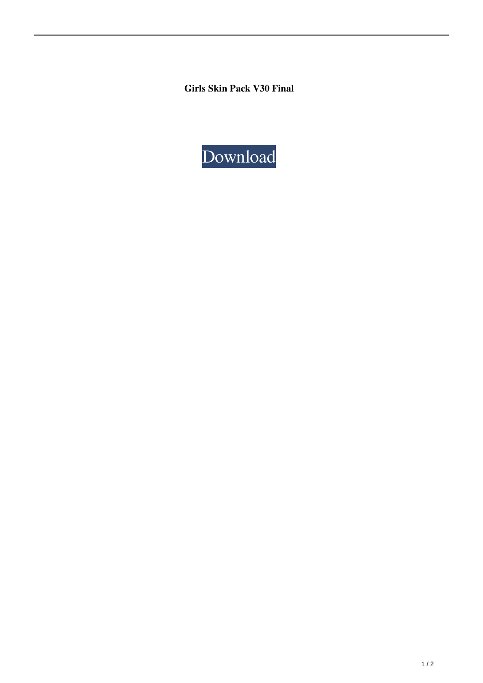**Girls Skin Pack V30 Final**